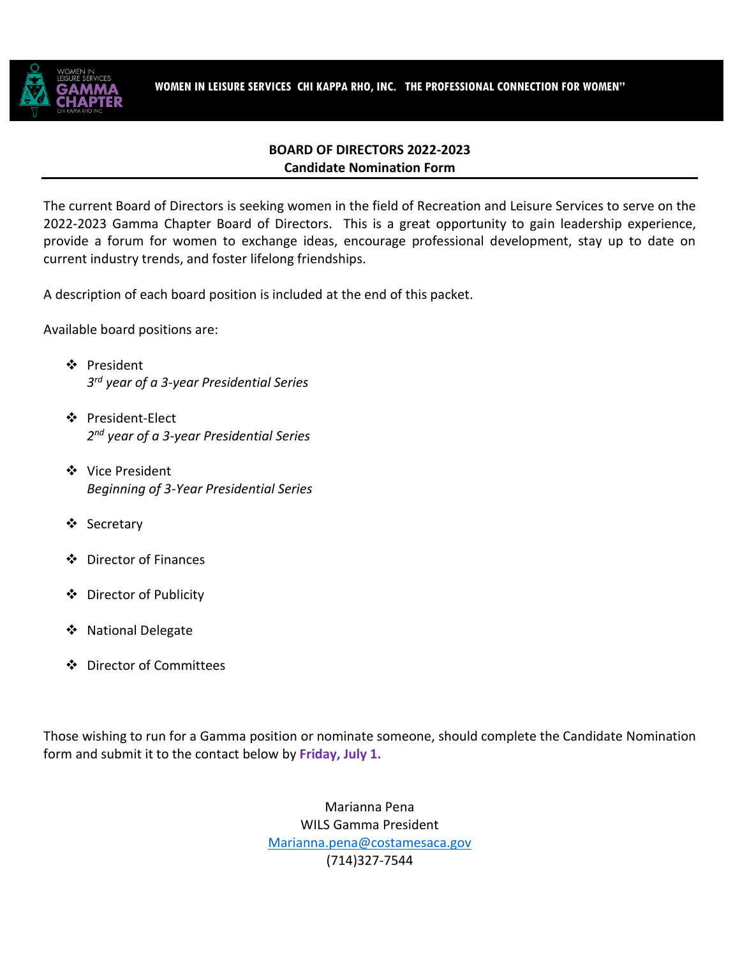

## **BOARD OF DIRECTORS 2022-2023 Candidate Nomination Form**

The current Board of Directors is seeking women in the field of Recreation and Leisure Services to serve on the 2022-2023 Gamma Chapter Board of Directors. This is a great opportunity to gain leadership experience, provide a forum for women to exchange ideas, encourage professional development, stay up to date on current industry trends, and foster lifelong friendships.

A description of each board position is included at the end of this packet.

Available board positions are:

- President *3rd year of a 3-year Presidential Series*
- ❖ President-Elect *2nd year of a 3-year Presidential Series*
- Vice President *Beginning of 3-Year Presidential Series*
- ❖ Secretary
- Director of Finances
- Director of Publicity
- ❖ National Delegate
- Director of Committees

Those wishing to run for a Gamma position or nominate someone, should complete the Candidate Nomination form and submit it to the contact below by **Friday, July 1.**

> Marianna Pena WILS Gamma President [Marianna.pena@costamesaca.gov](mailto:Marianna.pena@costamesaca.gov) (714)327-7544